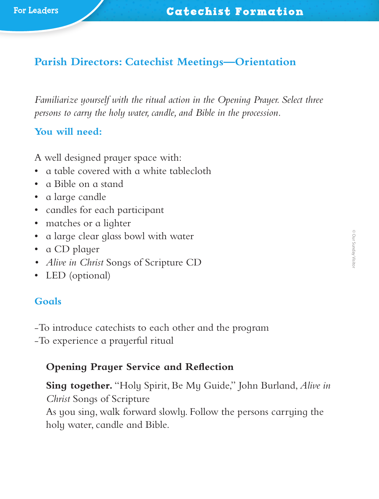# **Parish Directors: Catechist Meetings—Orientation**

*Familiarize yourself with the ritual action in the Opening Prayer. Select three persons to carry the holy water, candle, and Bible in the procession.*

## **You will need:**

A well designed prayer space with:

- a table covered with a white tablecloth
- a Bible on a stand
- a large candle
- candles for each participant
- matches or a lighter
- a large clear glass bowl with water
- a CD player
- *• Alive in Christ* Songs of Scripture CD
- LED (optional)

## **Goals**

‑To introduce catechists to each other and the program

‑To experience a prayerful ritual

## **Opening Prayer Service and Reflection**

**Sing together.** "Holy Spirit, Be My Guide," John Burland, *Alive in Christ* Songs of Scripture As you sing, walk forward slowly. Follow the persons carrying the holy water, candle and Bible.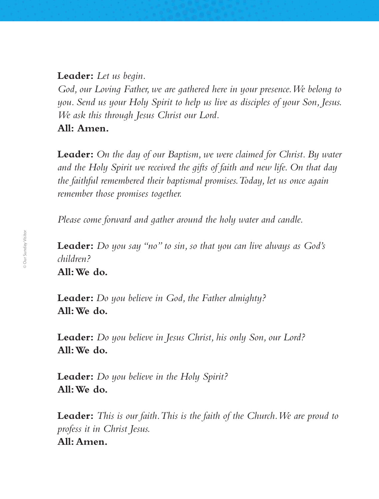**Leader:** *Let us begin.*

*God, our Loving Father, we are gathered here in your presence. We belong to you. Send us your Holy Spirit to help us live as disciples of your Son, Jesus. We ask this through Jesus Christ our Lord.*

**All: Amen.**

**Leader:** *On the day of our Baptism, we were claimed for Christ. By water and the Holy Spirit we received the gifts of faith and new life. On that day the faithful remembered their baptismal promises. Today, let us once again remember those promises together.*

*Please come forward and gather around the holy water and candle.*

**Leader:** *Do you say "no" to sin, so that you can live always as God's children?* **All: We do.**

**Leader:** *Do you believe in God, the Father almighty?* **All: We do.**

**Leader:** *Do you believe in Jesus Christ, his only Son, our Lord?* **All: We do.**

**Leader:** *Do you believe in the Holy Spirit?* **All: We do.**

**Leader:** *This is our faith. This is the faith of the Church. We are proud to profess it in Christ Jesus.* **All: Amen.**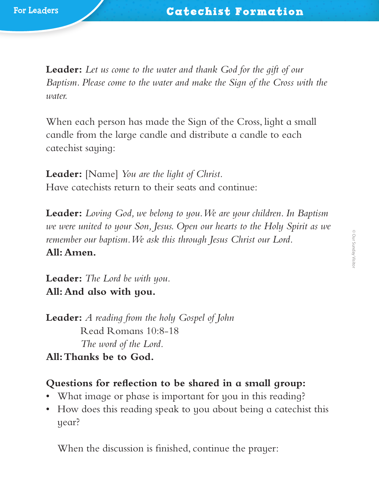**Leader:** *Let us come to the water and thank God for the gift of our Baptism. Please come to the water and make the Sign of the Cross with the water.*

When each person has made the Sign of the Cross, light a small candle from the large candle and distribute a candle to each catechist saying:

**Leader:** [Name] *You are the light of Christ.* Have catechists return to their seats and continue:

**Leader:** *Loving God, we belong to you. We are your children. In Baptism we were united to your Son, Jesus. Open our hearts to the Holy Spirit as we remember our baptism. We ask this through Jesus Christ our Lord.* **All: Amen.**

**Leader:** *The Lord be with you.* **All: And also with you.**

**Leader:** *A reading from the holy Gospel of John* Read Romans 10:8-18 *The word of the Lord.* **All: Thanks be to God.**

#### **Questions for reflection to be shared in a small group:**

- What image or phase is important for you in this reading?
- How does this reading speak to you about being a catechist this year?

When the discussion is finished, continue the prayer: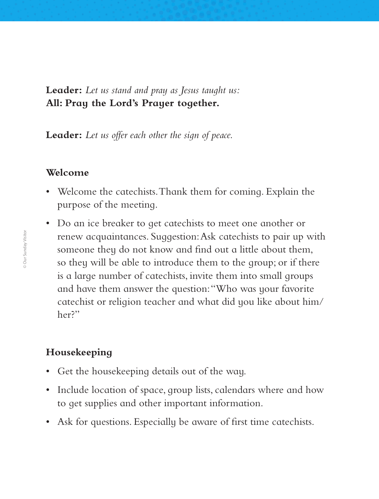**Leader:** *Let us stand and pray as Jesus taught us:* **All: Pray the Lord's Prayer together.**

**Leader:** *Let us offer each other the sign of peace.*

#### **Welcome**

- Welcome the catechists. Thank them for coming. Explain the purpose of the meeting.
- Do an ice breaker to get catechists to meet one another or renew acquaintances. Suggestion: Ask catechists to pair up with someone they do not know and find out a little about them, so they will be able to introduce them to the group; or if there is a large number of catechists, invite them into small groups and have them answer the question: "Who was your favorite catechist or religion teacher and what did you like about him/ her?"

### **Housekeeping**

- Get the housekeeping details out of the way.
- Include location of space, group lists, calendars where and how to get supplies and other important information.
- Ask for questions. Especially be aware of first time catechists.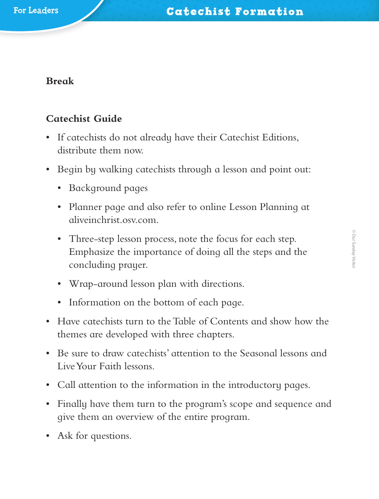### **Break**

## **Catechist Guide**

- If catechists do not already have their Catechist Editions, distribute them now.
- Begin by walking cate chists through a lesson and point out:
	- Background pages
	- Planner page and also refer to online Lesson Planning at aliveinchrist.osv.com.
	- Three-step lesson process, note the focus for each step. Emphasize the importance of doing all the steps and the concluding prayer.
	- Wrap-around lesson plan with directions.
	- Information on the bottom of each page.
- Have catechists turn to the Table of Contents and show how the themes are developed with three chapters.
- Be sure to draw catechists' attention to the Seasonal lessons and Live Your Faith lessons.
- Call attention to the information in the introductory pages.
- Finally have them turn to the program's scope and sequence and give them an overview of the entire program.
- Ask for questions.